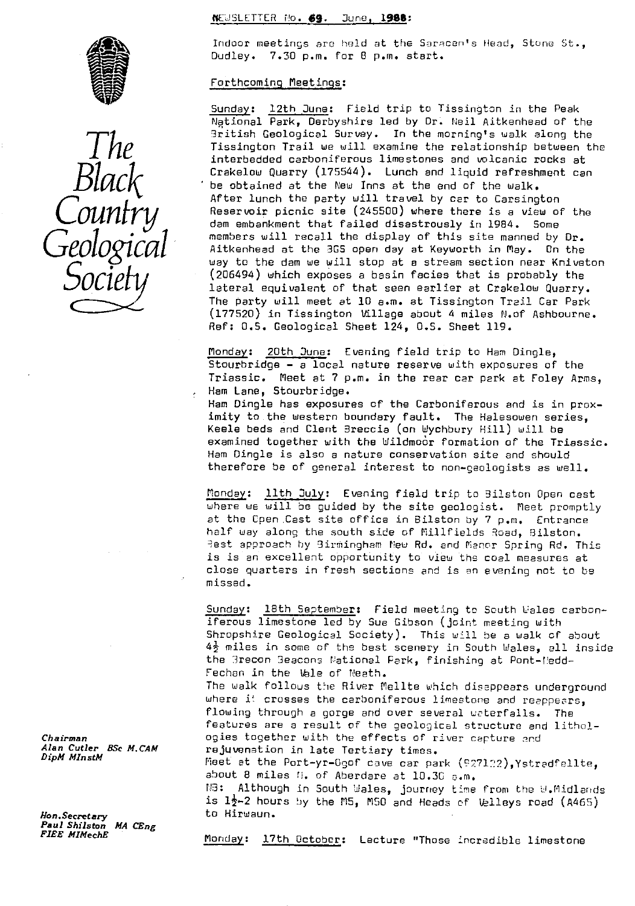## tEJSLETTER No. **69.** Dune, **1966:**





Indoor meetings are held at the Saracen's Head, Stune St., Dudley. 7.30 p.m. for 8 p.m. start.

## Forthcoming Meetings :

Sunday: 12th June: Field trip to Tissington in the Peak National Park, Derbyshire led by Dr. Neil Aitkenhead of the<br>British Geological Survey. In the morning's walk along the 3ritish Geological Survey. In the morning's walk along the *The* Tissington Trail we *will* examine the relationship between the interbedded carboniferous limestones and volcanic rocks at Crakelow Quarry (175544). Lunch and liquid refreshment can be obtained at the New Inns at the end of the walk. After lunch the party will travel by car to Carsington<br>*COUNTYY* Reservoir picnic site (245500) where there is a view of the<br>dam embankment that failed disastrously in 1984. Some members will recall the display of this site manned by Dr. Aitkenheed at the 305 open day at Keyworth in May. On the way to the dam we will stop at a stream section near Kniveton (206494) which exposes a basin facies that is probably the<br>Iateral equivalent of that seen earlier at Crakelow Quarry. The party will meet at 10 a.m. at Tissington Trail Car Park (177520) in Tissington Village about 4 miles N.of Ashbourne. Ref: O.S. Geological Sheet 124, O.S. Sheet 119.

> Monday: 20th June: Evening field trip to Ham Dingle, Stourbridge - a local nature reserve with exposures of the Triassic. Meet at 7 p.m. in the rear car park at Foley Arms, Ham Lane, Stourbridge.

Ham Dingle has exposures of the Carboniferous and is in proximity to the western boundary fault. The Halesowen series, Keele beds and Clent Breccia (on Wychbury Hill) will be examined together with the Wildmoor formation of the Triassic. Ham Dingle is also a nature conservation site and should therefore be of general interest to non-geologists as well.

.<br>Monday: <mark>llth July</mark>: Evening field trip to Bilston Open cast where we will be guided by the site geologist. Meet promptly at the Open Cast site office in Bilston by 7 p.m. Entrance half way along the south side of fillfields Road, Bilston. Jest approach by 3irmingham Mew Rd. and Fiancr Spring Rd. This is is an excellent opportunity to view the coal measures at close quarters in fresh sections and is an evening not to be missed.

Sunday: 18th September: Field meeting to South Wales carboniferous limestone led by Sue Gibson (joint meeting with Shropshire Geological Society). This will be a walk of about  $4\frac{1}{2}$  miles in some of the best scenery in South Wales, all inside the 3recon 3eacons National Park, finishing at Pont-('edd-Fechan in the Vale of Neath.

The walk follows the River Mellte which disappears underground where it crosses the carboniferous limestone and reappears, flowing through a gorge and over several waterfalls. The features are a result of the geological structure and lithol-*Chairman* ogies together with the effects of river capture and alam Cutler BSc M.CAM and rejuvenation in late Tertiary times. Alan Cutler BSc M.CAM rejuvenation in late Tertiary times.<br>DipM MInstM *DipM MlnstM* fleet at the Port-yr-ogof cave car park (P^\_712),Ystradfellte,

about 8 miles h. of Aberdare at 10.30 a.m.

P3: Although in South Wales, journey time from the WW.f7idlands is  $1\frac{1}{2}$ -2 hours by the M5, M50 and Heads of Velleys road (A465)

*Hon.Secretary* to Hirwaun. *Paul Shilston MA CEng*

Monday: 17th October: Lecture "Those incredible limestone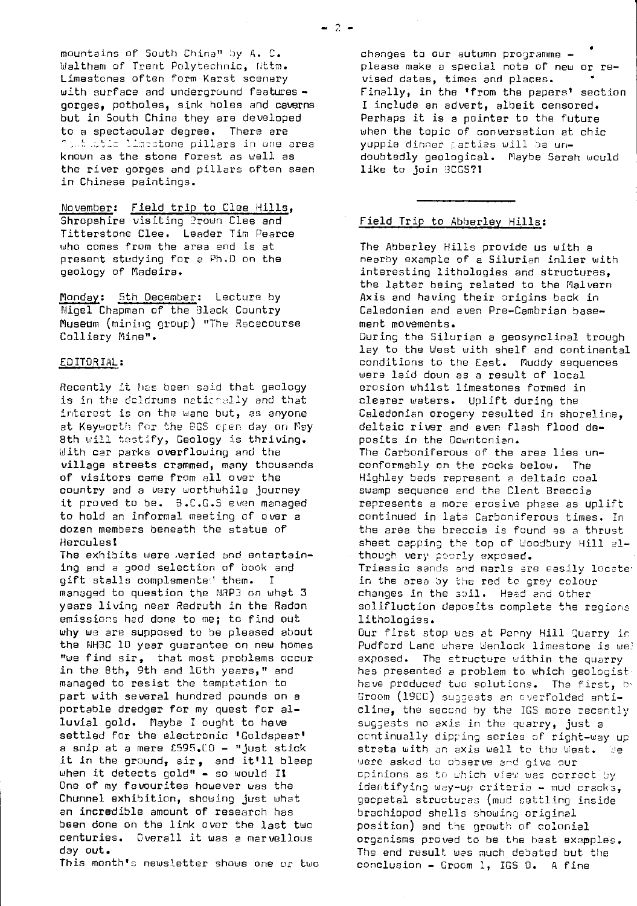mountains of South China" by A. C. Waltham of Trent Polytechnic, Nitm. Limestones often form Karst scenery with surface and underground features gorges, potholes, sink holes and caverns but in South China they are developed to a spectacular degree. There are **C**imitian limitatione pillars in one area known as the stone forest as well as the river gorges and pillars often seen in Chinese paintings.

## November: Field trip to Clee Hills,

Shropshire visiting 2rown Clee and Titterstone Clee. Leader Tim Pearce who comes from the area and is at present studying for a Ph.D on the geology of Madeira.

Monday: 5th December: Lecture by Nigel Chapman of the Black Country Museum (mining group) "The Racecourse Colliery Mine".

### EDITORIAL:

Recently it has been said that geology is in the doldrums nationally and that interest is on the wane but, as anyone at Keyworth for the BGS open day on May 8th will testify, Geology is thriving. With car parks overflowing and the village streets crammed, many thousands of visitors came from all over the country and a very worthwhile journey it proved to be. 3.C.G.S even managed to hold an informal meeting of over a dozen members beneath the statue of **Hercules!** 

The exhibits were varied and entertaining and a good selection of book and gift stalls complemented them. I managed to question the NRP3 on what 3 years living near Redruth in the Radon emissions had done to me; to find out why we are supposed to be pleased about the NH3C 10 year guarantee on new homes "we find sir, that most problems occur in the 8th, 9th and lGth years," and managed to resist the temptation to part with several hundred pounds on a portable dredger for my quest for alluvial gold. Maybe I ought to have settled for the electronic 'Goldspear' a snip at a mere fS95.00 - "just stick it in the ground, sir, and it'll bleep when it detects gold" - so would I! One of my favourites however was the Chunnel exhibition, showing just what an incredible amount of research has been done on the link over the last two centuries. Overall it was a marvellous day out.

This month's newsletter shows one or two

changes to our autumn programme please make a special note of new or revised dates, times and places. Finally, in the 'from the papers' section I include an advert, albeit censored. Perhaps it is a pointer to the future when the topic of conversation at chic yuppie dinner partias will be undoubtedly geological. Maybe Sarah would like to join 3CGS?1

### Field Trip to Abherley Hills :

The Abberley Hills provide us with a nearby example of a Silurian inlier with interesting lithologies and structures, the latter being related to the Malvern Axis and having their origins back in Caledonian and even Pre-Cambrian basement movements. During the Silurian a geosynclinal trough lay to the West with shelf and continental conditions to the East. Muddy sequences were laid down as a result of local erosion whilst limestones formed in clearer waters. Uplift during the Caledonian orogeny resulted in shoreline, deltaic river and even flesh flood deposits in the Dountcnian. The Carboniferous of the area lies unconformably on the rocks below. The Highley beds represent a deltaic coal swamp sequence and the Clent Breccia represents a more erosive phase as uplift continued in late Carboniferous times. In the area the hreccia is found as a thrust sheet capping the top of Woodbury Hill although very poorly exposed. Triassic sands and marls are easily locate in the area by the red to grey colour changes in the soil. Head end other solifluction deposits complete the regions lithologies. Our first stop was at Perny Hill Quarry in Pudford Lane where Wenlock limestone is wel exposed. The structure within the quarry has presented a problem to which geologist have produced two solutions. The first, by Groom (1900) suggests an overfolded anticline, the second by the IGS more recently suggests no axis in the quarry, just a continually dipping series of right-way up strata with an axis well to the West. We were asked to observe and give our opinions as to which view was correct by identifying way-up criteria -- mud cracks, gecpetal structures (mud settling inside brachiopod shells showing original position) and the growth of colonial organisms proved to be the best exapples. *The* end result was much debated but the conclusion - Groom 1, IGS Q. A fine

 $-2-$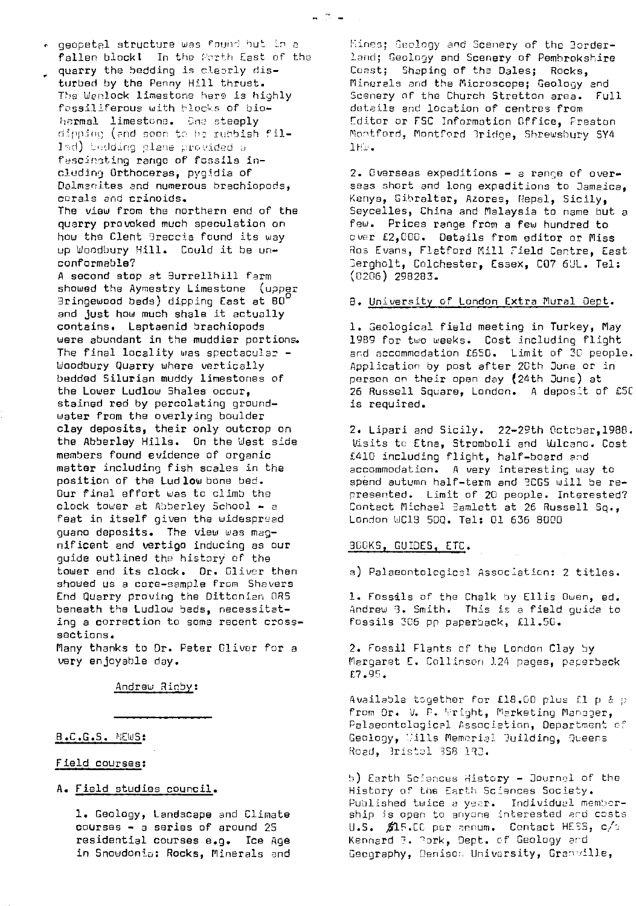quarry the bedding is oleerly disturbed by the Penny Hill thrust. The Wenlock limestone here is highly fossiliferous with blocks of bioharmal limestone. One steeply dipping (and soon to he rubbish fil- $1$ ad) bedding plane provided  $\varepsilon$ fescinsting range of fossils including Orthoceras, pygidia of Dailmani.tes and numerous brachiopods, corals and crinoids. The view from the northern end of the quarry provoked much speculation on how the Clent Greccia found its way up Woodbury Hill. Could it be unconformable? A second stop at Surrellhill farm showed the Aymestry Limestone (upper  $B$ ringewood beds) dipping East at  $B0^{\dagger}$ and just how much shale it actually contains. Leptaenid brachiopods were abundant in the muddier portions. The final locality was spectacular -Woodbury Quarry where vertically bedded Silurian muddy limestones of the Lower Ludlow Shales occur, stained red by percolating groundwater from the overlying boulder clay deposits, their only outcrop on the Abberley Hills. On the West side members found evidence of organic matter including fish scales in the position of the Ludlow bone bed.

Our final effort was to climb the clock tower at Abberley School - a feat in itself given the widespread guano deposits. The view was magnificent and vertigo inducing as our guide outlined the history of the tower and its clock. Dr. Oliver then showed us a core-sample from Shavers End Quarry proving the Dittonian ORS beneath the Ludlow beds, necessitating a correction to some recent crosssections.

Many thanks to Dr. Peter Glivor for a very enjoyable day.

Andrew Rinby:

# $B.C.G.S.$  NEWS:

# Field courses :

A. Field studies council .

1. Geology, Landscape and Climate courses - a series of around 25 residential courses e.g. Ice Age in Snowdonia: Rocks, Minerals and

Rines; Geology and Scenery of the 3orderland; Geology and Scenery of Pembrokshire Coast; Shaping of the Dales; Rocks, Minerals and the Microscope; Geology and Scenery of the Church Stretton area. Full details and location of centres from Editor or FSC Information Office, Preston Montford, Mont"ord 1ridce, 5hrewshury SY4  $1$ H $\omega$ .

2. Overseas expeditions - a range of overseas short and long expeditions to Jamaica, Kenya, Gibraltar, Azores, Nepal, Sicily, Seycelles, China and Malaysia to name but a few. Prices range from a few hundred to over £2,000. Details from editor or Miss Ros Evans, Flatford Mill Field Centre, East erghclt, Colchester, Essex, C07 6UL. Tel; (0206) 298283.

# 8. University of London Extra Mural Dept.

1. Geological field meeting in Turkey, May 1989 for two weeks. Cost including flight and accommodation £650. Limit of 30 people. Application by post after 20th June or in person on their open day (24th June) at 26 Russell Square, London. A deposit of £50 is required.

2. Lipari and Sicily. 22-25th Cctcber,1988. Visits to Etna, Stromboli and Wilcano. Cost £410 including flight, half-board and accommodation. A very interesting way to spend autumn half-term and BCGS will be represented. Limit of 20 people. interested? Contact Michael Bamlett at 26 Russell Sq., London WC13 500. Tel: 01 636 8000

# BOOKS, GUIDES, ETC .

a) Palaeontological Association: 2 titles.

1. Fossils of the Chalk by Ellis Owen, ed. Andrew 3. Smith. This is a field guide to fossils ?C5 pp paperback, £11.50.

2. Fossil Plants of the London Clay by Margaret E. Collinson 124 pages, paperback £?.g5.

Available together for £18.00 plus £1 p & p from Dr. V. P. Wright, Marketing Manager, Palaeontological Association, Department of Geology, Wills Memorial Building, Queens Road, Bristol 3S8 193.

5) Earth Sciences History - Journal of the History of the Earth Sciences Society. Published twice a year. Individual memborship is open to anyone interested and costs U.S.  $\#15$ .CC per annum. Contact HESS, c/ $\circ$ Kennard 3. Rork, Dept. of Geology and Geography, Denison University, Grenville,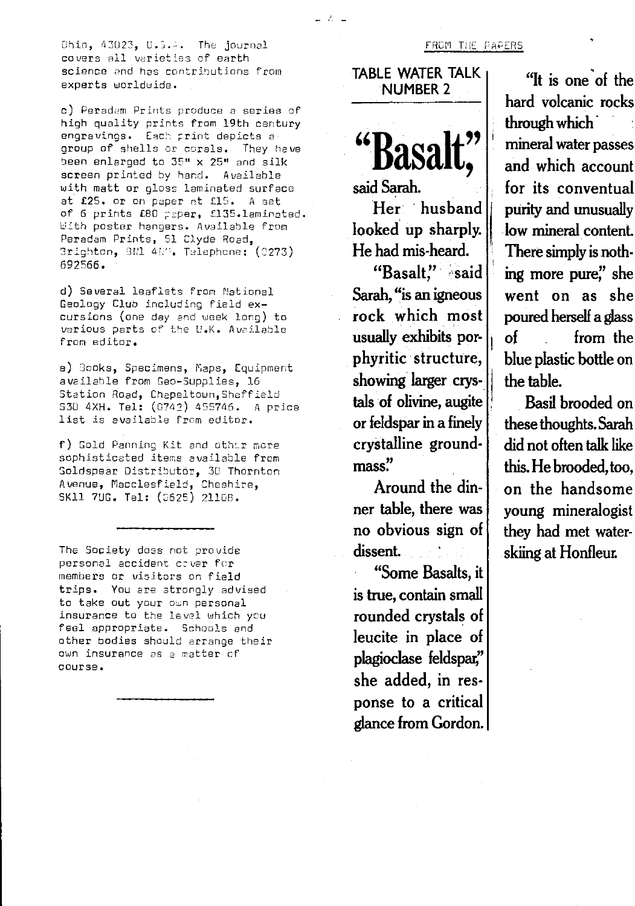Chin, 43023, U.3.A. The journal entitled and the PAPERS FROM THE PAPERS covers all varieties of earth science and has contributions from experts worldwide.

c) Peradem Prints produce *a series of* high quality prints from 19th century engravings. Each print depicts a group of shells or corals. They have been enlarged to 35" x 25" and silk screen printed by hand. Available with matt or gloss laminated surface at £25. or on paper *at LIS. A* set of 6 prints £80 paper, £135.laminated. With poster hangers. Available from Peradam Prints, 51 Clyde Road. 3righton, 3N1 497. Telephone: (0273) 592566.

d) Several leaflets from National Geology Club including field **ex**cursions (one day and week long) to various parts of the U.K. Available from editor.

e) Sooks, Specimens, Maps, Equipment available from Geo-Supplies, 16 Station Road, Chepeltown,5heffield 530 4XH. Tel: (0742) 455745. A price list is available from editor.

f) Gold Panning Kit and other more sophisticated items available from oldspear Distributor, 3C Thornton Avenue, Fiacclesf ield, Cheshire, SK11 7UG. Tel: (0625) 21108.

The Society does not provide personal accident cover for members or visitors on field trips. You are strongly advised to take out your own personal insurance to the level which you feel appropriate. Schools and other bodies should arrange their own insurance as a matter of course.

TABLE WATER TALK NUMBER 2

 $-2$ 



**said Sarah. Her ' husband looked** up sharply.

**He had mis-heard.** "Basalt" said **Sarah, "is an igneous rock which most usually exhibits porphyritic** structure, **showing' larger crystals of olivine, augite or feldspar in a finely crystalline groundmass."**

**Around the dinner table, there was no obvious sign of dissent.**

**"Some Basalts, it is true, contain small rounded crystals of leucite in place of plagioclase feldspar,' she added, in response to a critical glance from Gordon.**

**"It is one of the hard volcanic rocks through which mineral water passes and which account for its conventual purity and unusually low mineral content. There simply is nothing more pure;' she went on as she poured herself a glass of from the blue plastic bottle on the table.**

**Basil brooded on these thoughts. Sarah did not often talk like this. He brooded, too, on the handsome young mineralogist they had met waterskiing.at Honfleur.**